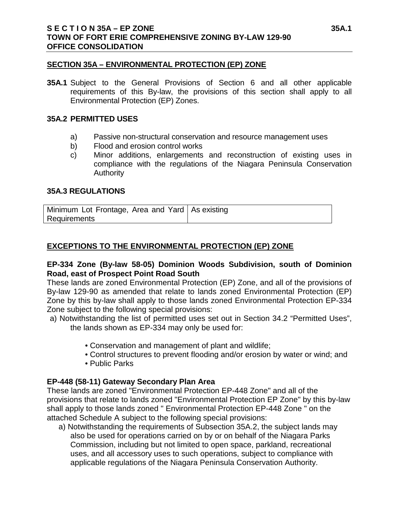#### **SECTION 35A – ENVIRONMENTAL PROTECTION (EP) ZONE**

**35A.1** Subject to the General Provisions of Section 6 and all other applicable requirements of this By-law, the provisions of this section shall apply to all Environmental Protection (EP) Zones.

#### **35A.2 PERMITTED USES**

- a) Passive non-structural conservation and resource management uses
- b) Flood and erosion control works
- c) Minor additions, enlargements and reconstruction of existing uses in compliance with the regulations of the Niagara Peninsula Conservation **Authority**

# **35A.3 REGULATIONS**

| Minimum Lot Frontage, Area and Yard   As existing |  |
|---------------------------------------------------|--|
| Requirements                                      |  |

# **EXCEPTIONS TO THE ENVIRONMENTAL PROTECTION (EP) ZONE**

#### **EP-334 Zone (By-law 58-05) Dominion Woods Subdivision, south of Dominion Road, east of Prospect Point Road South**

These lands are zoned Environmental Protection (EP) Zone, and all of the provisions of By-law 129-90 as amended that relate to lands zoned Environmental Protection (EP) Zone by this by-law shall apply to those lands zoned Environmental Protection EP-334 Zone subject to the following special provisions:

a) Notwithstanding the list of permitted uses set out in Section 34.2 "Permitted Uses", the lands shown as EP-334 may only be used for:

- Conservation and management of plant and wildlife;
- Control structures to prevent flooding and/or erosion by water or wind; and
- Public Parks

# **EP-448 (58-11) Gateway Secondary Plan Area**

These lands are zoned "Environmental Protection EP-448 Zone" and all of the provisions that relate to lands zoned "Environmental Protection EP Zone" by this by-law shall apply to those lands zoned " Environmental Protection EP-448 Zone " on the attached Schedule A subject to the following special provisions:

a) Notwithstanding the requirements of Subsection 35A.2, the subject lands may also be used for operations carried on by or on behalf of the Niagara Parks Commission, including but not limited to open space, parkland, recreational uses, and all accessory uses to such operations, subject to compliance with applicable regulations of the Niagara Peninsula Conservation Authority.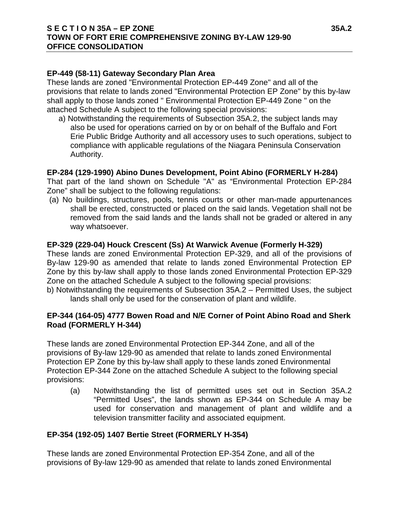# **S E C T I O N 35A – EP ZONE 35A.2 TOWN OF FORT ERIE COMPREHENSIVE ZONING BY-LAW 129-90 OFFICE CONSOLIDATION**

# **EP-449 (58-11) Gateway Secondary Plan Area**

These lands are zoned "Environmental Protection EP-449 Zone" and all of the provisions that relate to lands zoned "Environmental Protection EP Zone" by this by-law shall apply to those lands zoned " Environmental Protection EP-449 Zone " on the attached Schedule A subject to the following special provisions:

a) Notwithstanding the requirements of Subsection 35A.2, the subject lands may also be used for operations carried on by or on behalf of the Buffalo and Fort Erie Public Bridge Authority and all accessory uses to such operations, subject to compliance with applicable regulations of the Niagara Peninsula Conservation Authority.

# **EP-284 (129-1990) Abino Dunes Development, Point Abino (FORMERLY H-284)**

That part of the land shown on Schedule "A" as "Environmental Protection EP-284 Zone" shall be subject to the following regulations:

(a) No buildings, structures, pools, tennis courts or other man-made appurtenances shall be erected, constructed or placed on the said lands. Vegetation shall not be removed from the said lands and the lands shall not be graded or altered in any way whatsoever.

#### **EP-329 (229-04) Houck Crescent (Ss) At Warwick Avenue (Formerly H-329)**

These lands are zoned Environmental Protection EP-329, and all of the provisions of By-law 129-90 as amended that relate to lands zoned Environmental Protection EP Zone by this by-law shall apply to those lands zoned Environmental Protection EP-329 Zone on the attached Schedule A subject to the following special provisions:

b) Notwithstanding the requirements of Subsection 35A.2 – Permitted Uses, the subject lands shall only be used for the conservation of plant and wildlife.

# **EP-344 (164-05) 4777 Bowen Road and N/E Corner of Point Abino Road and Sherk Road (FORMERLY H-344)**

These lands are zoned Environmental Protection EP-344 Zone, and all of the provisions of By-law 129-90 as amended that relate to lands zoned Environmental Protection EP Zone by this by-law shall apply to these lands zoned Environmental Protection EP-344 Zone on the attached Schedule A subject to the following special provisions:

(a) Notwithstanding the list of permitted uses set out in Section 35A.2 "Permitted Uses", the lands shown as EP-344 on Schedule A may be used for conservation and management of plant and wildlife and a television transmitter facility and associated equipment.

# **EP-354 (192-05) 1407 Bertie Street (FORMERLY H-354)**

These lands are zoned Environmental Protection EP-354 Zone, and all of the provisions of By-law 129-90 as amended that relate to lands zoned Environmental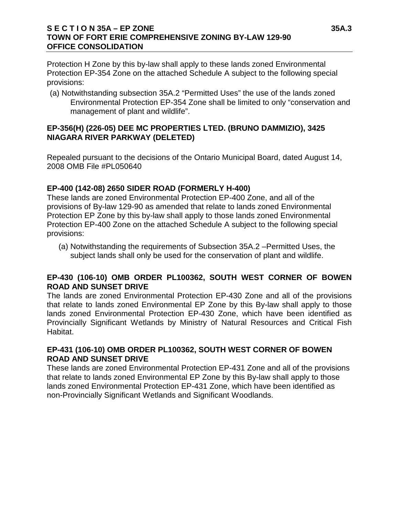# **S E C T I O N 35A – EP ZONE 35A.3 TOWN OF FORT ERIE COMPREHENSIVE ZONING BY-LAW 129-90 OFFICE CONSOLIDATION**

Protection H Zone by this by-law shall apply to these lands zoned Environmental Protection EP-354 Zone on the attached Schedule A subject to the following special provisions:

(a) Notwithstanding subsection 35A.2 "Permitted Uses" the use of the lands zoned Environmental Protection EP-354 Zone shall be limited to only "conservation and management of plant and wildlife".

# **EP-356(H) (226-05) DEE MC PROPERTIES LTED. (BRUNO DAMMIZIO), 3425 NIAGARA RIVER PARKWAY (DELETED)**

Repealed pursuant to the decisions of the Ontario Municipal Board, dated August 14, 2008 OMB File #PL050640

# **EP-400 (142-08) 2650 SIDER ROAD (FORMERLY H-400)**

These lands are zoned Environmental Protection EP-400 Zone, and all of the provisions of By-law 129-90 as amended that relate to lands zoned Environmental Protection EP Zone by this by-law shall apply to those lands zoned Environmental Protection EP-400 Zone on the attached Schedule A subject to the following special provisions:

(a) Notwithstanding the requirements of Subsection 35A.2 –Permitted Uses, the subject lands shall only be used for the conservation of plant and wildlife.

# **EP-430 (106-10) OMB ORDER PL100362, SOUTH WEST CORNER OF BOWEN ROAD AND SUNSET DRIVE**

The lands are zoned Environmental Protection EP-430 Zone and all of the provisions that relate to lands zoned Environmental EP Zone by this By-law shall apply to those lands zoned Environmental Protection EP-430 Zone, which have been identified as Provincially Significant Wetlands by Ministry of Natural Resources and Critical Fish Habitat.

# **EP-431 (106-10) OMB ORDER PL100362, SOUTH WEST CORNER OF BOWEN ROAD AND SUNSET DRIVE**

These lands are zoned Environmental Protection EP-431 Zone and all of the provisions that relate to lands zoned Environmental EP Zone by this By-law shall apply to those lands zoned Environmental Protection EP-431 Zone, which have been identified as non-Provincially Significant Wetlands and Significant Woodlands.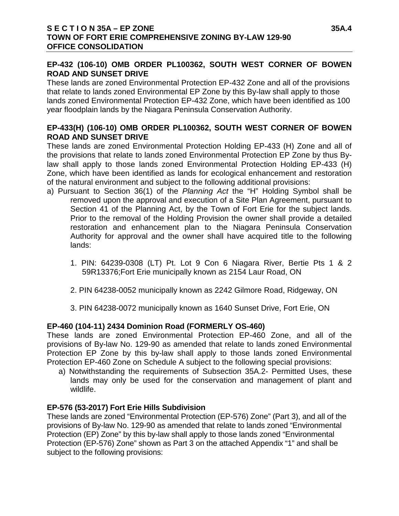# **EP-432 (106-10) OMB ORDER PL100362, SOUTH WEST CORNER OF BOWEN ROAD AND SUNSET DRIVE**

These lands are zoned Environmental Protection EP-432 Zone and all of the provisions that relate to lands zoned Environmental EP Zone by this By-law shall apply to those lands zoned Environmental Protection EP-432 Zone, which have been identified as 100 year floodplain lands by the Niagara Peninsula Conservation Authority.

# **EP-433(H) (106-10) OMB ORDER PL100362, SOUTH WEST CORNER OF BOWEN ROAD AND SUNSET DRIVE**

These lands are zoned Environmental Protection Holding EP-433 (H) Zone and all of the provisions that relate to lands zoned Environmental Protection EP Zone by thus Bylaw shall apply to those lands zoned Environmental Protection Holding EP-433 (H) Zone, which have been identified as lands for ecological enhancement and restoration of the natural environment and subject to the following additional provisions:

- a) Pursuant to Section 36(1) of the *Planning Act* the "H" Holding Symbol shall be removed upon the approval and execution of a Site Plan Agreement, pursuant to Section 41 of the Planning Act, by the Town of Fort Erie for the subject lands. Prior to the removal of the Holding Provision the owner shall provide a detailed restoration and enhancement plan to the Niagara Peninsula Conservation Authority for approval and the owner shall have acquired title to the following lands:
	- 1. PIN: 64239-0308 (LT) Pt. Lot 9 Con 6 Niagara River, Bertie Pts 1 & 2 59R13376;Fort Erie municipally known as 2154 Laur Road, ON
	- 2. PIN 64238-0052 municipally known as 2242 Gilmore Road, Ridgeway, ON
	- 3. PIN 64238-0072 municipally known as 1640 Sunset Drive, Fort Erie, ON

# **EP-460 (104-11) 2434 Dominion Road (FORMERLY OS-460)**

These lands are zoned Environmental Protection EP-460 Zone, and all of the provisions of By-law No. 129-90 as amended that relate to lands zoned Environmental Protection EP Zone by this by-law shall apply to those lands zoned Environmental Protection EP-460 Zone on Schedule A subject to the following special provisions:

a) Notwithstanding the requirements of Subsection 35A.2- Permitted Uses, these lands may only be used for the conservation and management of plant and wildlife.

# **EP-576 (53-2017) Fort Erie Hills Subdivision**

These lands are zoned "Environmental Protection (EP-576) Zone" (Part 3), and all of the provisions of By-law No. 129-90 as amended that relate to lands zoned "Environmental Protection (EP) Zone" by this by-law shall apply to those lands zoned "Environmental Protection (EP-576) Zone" shown as Part 3 on the attached Appendix "1" and shall be subject to the following provisions: